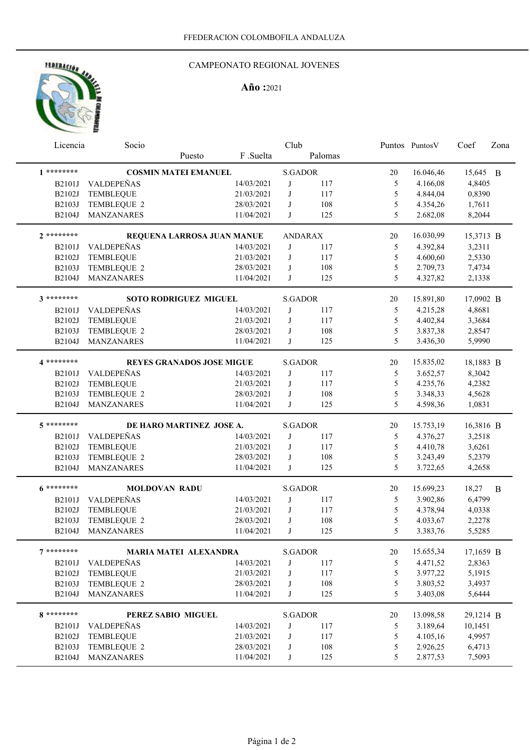# HEDERACION AND

### CAMPEONATO REGIONAL JOVENES

## **Año :**2021

| Licencia |               | Socio                        | Club                             |            |                |         | Puntos Puntos V | Coef      | Zona      |   |
|----------|---------------|------------------------------|----------------------------------|------------|----------------|---------|-----------------|-----------|-----------|---|
|          |               |                              | Puesto                           | F .Suelta  |                | Palomas |                 |           |           |   |
|          | $1********$   |                              | <b>COSMIN MATEI EMANUEL</b>      |            | <b>S.GADOR</b> |         | 20              | 16.046,46 | 15,645 B  |   |
|          | <b>B2101J</b> | VALDEPEÑAS                   |                                  | 14/03/2021 | J              | 117     | 5               | 4.166,08  | 4,8405    |   |
|          | B2102J        | <b>TEMBLEQUE</b>             |                                  | 21/03/2021 | J              | 117     | 5               | 4.844,04  | 0,8390    |   |
|          | B2103J        | TEMBLEQUE 2                  |                                  | 28/03/2021 | J              | 108     | 5               | 4.354,26  | 1,7611    |   |
|          | B2104J        | MANZANARES                   |                                  | 11/04/2021 | J              | 125     | 5               | 2.682,08  | 8,2044    |   |
|          | $2*******$    | REQUENA LARROSA JUAN MANUE   |                                  |            | <b>ANDARAX</b> |         | 20              | 16.030,99 | 15,3713 B |   |
|          | <b>B2101J</b> | VALDEPEÑAS                   |                                  | 14/03/2021 | J              | 117     | 5               | 4.392,84  | 3,2311    |   |
|          | B2102J        | <b>TEMBLEQUE</b>             |                                  | 21/03/2021 | J              | 117     | 5               | 4.600,60  | 2,5330    |   |
|          | B2103J        | TEMBLEQUE 2                  |                                  | 28/03/2021 | J              | 108     | 5               | 2.709,73  | 7,4734    |   |
|          | B2104J        | <b>MANZANARES</b>            |                                  | 11/04/2021 | J              | 125     | 5               | 4.327,82  | 2,1338    |   |
|          | 3 ********    | <b>SOTO RODRIGUEZ MIGUEL</b> |                                  |            | <b>S.GADOR</b> |         | 20              | 15.891,80 | 17,0902 B |   |
|          | <b>B2101J</b> | VALDEPEÑAS                   |                                  | 14/03/2021 | J              | 117     | 5               | 4.215,28  | 4,8681    |   |
|          | B2102J        | TEMBLEQUE                    |                                  | 21/03/2021 | J              | 117     | 5               | 4.402,84  | 3,3684    |   |
|          | B2103J        | TEMBLEQUE 2                  |                                  | 28/03/2021 | J              | 108     | 5               | 3.837,38  | 2,8547    |   |
|          | B2104J        | MANZANARES                   |                                  | 11/04/2021 | J              | 125     | 5               | 3.436,30  | 5,9990    |   |
|          | 4 *********   |                              | <b>REYES GRANADOS JOSE MIGUE</b> |            | <b>S.GADOR</b> |         | 20              | 15.835,02 | 18,1883 B |   |
|          | <b>B2101J</b> | VALDEPEÑAS                   |                                  | 14/03/2021 | J              | 117     | 5               | 3.652,57  | 8,3042    |   |
|          | B2102J        | TEMBLEQUE                    |                                  | 21/03/2021 | J              | 117     | 5               | 4.235,76  | 4,2382    |   |
|          | B2103J        | TEMBLEQUE 2                  |                                  | 28/03/2021 | J              | 108     | 5               | 3.348,33  | 4,5628    |   |
|          | B2104J        | <b>MANZANARES</b>            |                                  | 11/04/2021 | J              | 125     | 5               | 4.598,36  | 1,0831    |   |
|          | $5*******$    | DE HARO MARTINEZ JOSE A.     |                                  |            | <b>S.GADOR</b> |         | 20              | 15.753,19 | 16,3816 B |   |
|          | B2101J        | VALDEPEÑAS                   |                                  | 14/03/2021 | J              | 117     | 5               | 4.376,27  | 3,2518    |   |
|          | B2102J        | <b>TEMBLEQUE</b>             |                                  | 21/03/2021 | J              | 117     | 5               | 4.410,78  | 3,6261    |   |
|          | B2103J        | TEMBLEQUE 2                  |                                  | 28/03/2021 | J              | 108     | 5               | 3.243,49  | 5,2379    |   |
|          | B2104J        | <b>MANZANARES</b>            |                                  | 11/04/2021 | J              | 125     | 5               | 3.722,65  | 4,2658    |   |
|          | $6*******$    | <b>MOLDOVAN RADU</b>         |                                  |            | <b>S.GADOR</b> |         | 20              | 15.699,23 | 18,27     | B |
|          | <b>B2101J</b> | VALDEPEÑAS                   |                                  | 14/03/2021 | J              | 117     | 5               | 3.902,86  | 6,4799    |   |
|          | B2102J        | TEMBLEQUE                    |                                  | 21/03/2021 | J              | 117     | 5               | 4.378,94  | 4,0338    |   |
|          | B2103J        | TEMBLEQUE 2                  |                                  | 28/03/2021 | J              | 108     | 5               | 4.033,67  | 2,2278    |   |
|          | B2104J        | <b>MANZANARES</b>            |                                  | 11/04/2021 | J              | 125     | 5               | 3.383,76  | 5,5285    |   |
|          | $7$ ********  | <b>MARIA MATEI ALEXANDRA</b> |                                  |            | S.GADOR        |         | 20              | 15.655,34 | 17,1659 B |   |
|          | <b>B2101J</b> | VALDEPEÑAS                   |                                  | 14/03/2021 | J              | 117     | 5               | 4.471,52  | 2,8363    |   |
|          | B2102J        | TEMBLEQUE                    |                                  | 21/03/2021 | J              | 117     | 5               | 3.977,22  | 5,1915    |   |
|          | B2103J        | TEMBLEQUE 2                  |                                  | 28/03/2021 | J              | 108     | 5               | 3.803,52  | 3,4937    |   |
|          | B2104J        | MANZANARES                   |                                  | 11/04/2021 | J              | 125     | 5               | 3.403,08  | 5,6444    |   |
|          | 8 ********    | PEREZ SABIO MIGUEL           |                                  |            | <b>S.GADOR</b> |         | 20              | 13.098,58 | 29,1214 B |   |
|          | <b>B2101J</b> | VALDEPEÑAS                   |                                  | 14/03/2021 | J              | 117     | 5               | 3.189,64  | 10,1451   |   |
|          | B2102J        | <b>TEMBLEQUE</b>             |                                  | 21/03/2021 | J              | 117     | 5               | 4.105,16  | 4,9957    |   |
|          | B2103J        | TEMBLEQUE 2                  |                                  | 28/03/2021 | J              | 108     | 5               | 2.926,25  | 6,4713    |   |
|          | B2104J        | <b>MANZANARES</b>            |                                  | 11/04/2021 | J              | 125     | 5               | 2.877,53  | 7,5093    |   |
|          |               |                              |                                  |            |                |         |                 |           |           |   |